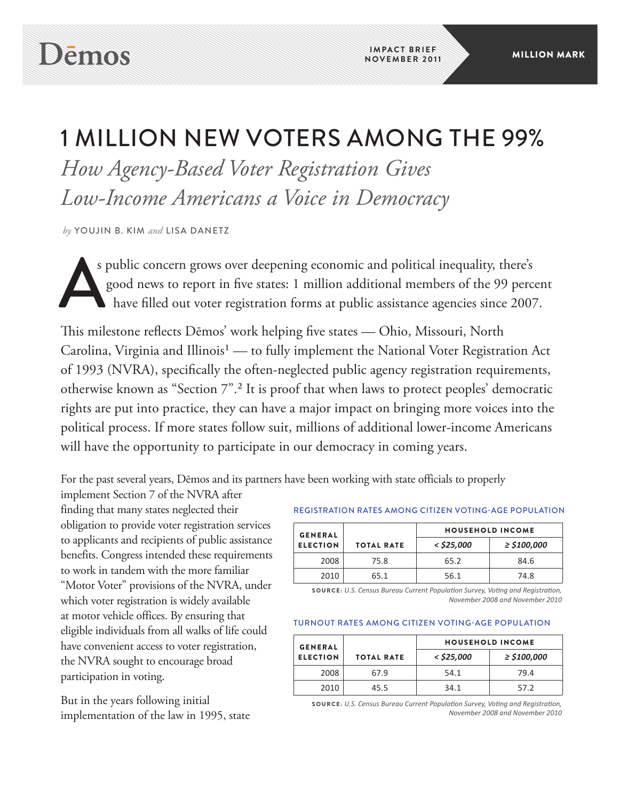# 1 Million New Voters Among The 99%

*How Agency-Based Voter Registration Gives Low-Income Americans a Voice in Democracy*

*by* youjin b. kim *and* Lisa danetz

s public concern grows over deepening economic and political inequality, there's good news to report in five states: 1 million additional members of the 99 percent have filled out voter registration forms at public assistance agencies since 2007.

This milestone reflects Dēmos' work helping five states — Ohio, Missouri, North Carolina, Virginia and Illinois<sup>1</sup> — to fully implement the National Voter Registration Act of 1993 (NVRA), specifically the often-neglected public agency registration requirements, otherwise known as "Section 7".² It is proof that when laws to protect peoples' democratic rights are put into practice, they can have a major impact on bringing more voices into the political process. If more states follow suit, millions of additional lower-income Americans will have the opportunity to participate in our democracy in coming years.

For the past several years, Dēmos and its partners have been working with state officials to properly

implement Section 7 of the NVRA after finding that many states neglected their obligation to provide voter registration services to applicants and recipients of public assistance benefits. Congress intended these requirements to work in tandem with the more familiar "Motor Voter" provisions of the NVRA, under which voter registration is widely available at motor vehicle offices. By ensuring that eligible individuals from all walks of life could have convenient access to voter registration, the NVRA sought to encourage broad participation in voting.

But in the years following initial implementation of the law in 1995, state

## Registration Rates among Citizen Voting-Age Population

| $\geq$ \$100,000 |
|------------------|
|                  |
|                  |
|                  |

SOURCE: *U.S. Census Bureau Current Population Survey, Voting and Registration, November 2008 and November 2010*

#### Turnout Rates among Citizen Voting-Age Population

| <b>GENERAL</b>  |                   | <b>HOUSEHOLD INCOME</b> |                  |
|-----------------|-------------------|-------------------------|------------------|
| <b>ELECTION</b> | <b>TOTAL RATE</b> | $<$ \$25,000            | $\geq$ \$100,000 |
| 2008            | 67.9              | 54.1                    | 79.4             |
| 2010            | 45.5              | 34.1                    | 57.2             |

SOURCE: *U.S. Census Bureau Current Population Survey, Voting and Registration, November 2008 and November 2010*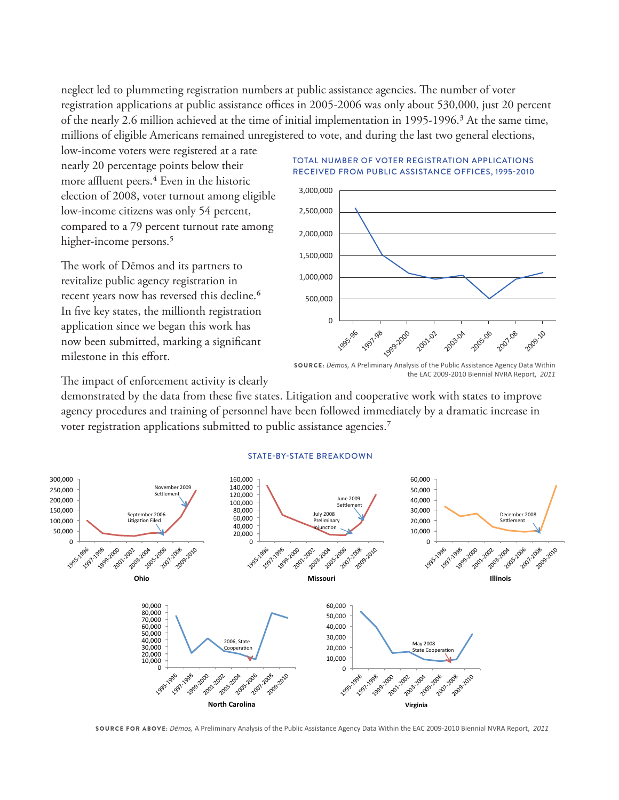neglect led to plummeting registration numbers at public assistance agencies. The number of voter registration applications at public assistance offices in 2005-2006 was only about 530,000, just 20 percent of the nearly 2.6 million achieved at the time of initial implementation in 1995-1996.<sup>3</sup> At the same time, millions of eligible Americans remained unregistered to vote, and during the last two general elections,

low-income voters were registered at a rate nearly 20 percentage points below their more affluent peers.<sup>4</sup> Even in the historic election of 2008, voter turnout among eligible low-income citizens was only 54 percent, compared to a 79 percent turnout rate among higher-income persons.<sup>5</sup>

The work of Dēmos and its partners to revitalize public agency registration in recent years now has reversed this decline.<sup>6</sup> In five key states, the millionth registration application since we began this work has now been submitted, marking a significant milestone in this effort.

#### Total number of Voter Registration Applications Received from Public Assistance Offices, 1995-2010



SOURCE: *Dēmos,* A Preliminary Analysis of the Public Assistance Agency Data Within the EAC 2009-2010 Biennial NVRA Report, *2011*

The impact of enforcement activity is clearly

demonstrated by the data from these five states. Litigation and cooperative work with states to improve agency procedures and training of personnel have been followed immediately by a dramatic increase in voter registration applications submitted to public assistance agencies.<sup>7</sup>



#### State-by-state breakdown

SOURCE for above: *Dēmos,* A Preliminary Analysis of the Public Assistance Agency Data Within the EAC 2009-2010 Biennial NVRA Report, *2011*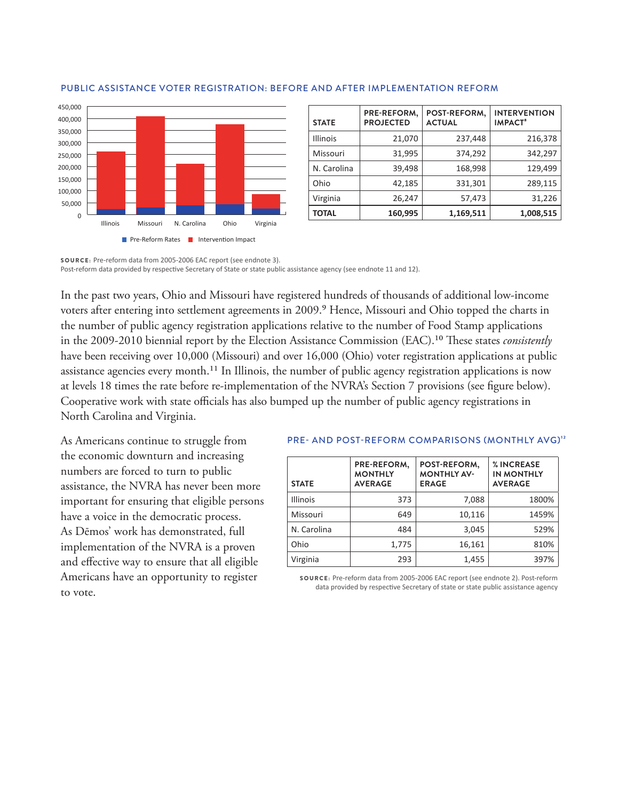

| <b>STATE</b>    | PRE-REFORM,<br><b>PROJECTED</b> | POST-REFORM,<br><b>ACTUAL</b> | <b>INTERVENTION</b><br><b>IMPACT<sup>®</sup></b> |
|-----------------|---------------------------------|-------------------------------|--------------------------------------------------|
| <b>Illinois</b> | 21,070                          | 237,448                       | 216,378                                          |
| Missouri        | 31,995                          | 374,292                       | 342,297                                          |
| N. Carolina     | 39,498                          | 168,998                       | 129,499                                          |
| Ohio            | 42,185                          | 331,301                       | 289,115                                          |
| Virginia        | 26,247                          | 57,473                        | 31,226                                           |
| <b>TOTAL</b>    | 160,995                         | 1,169,511                     | 1,008,515                                        |

#### Public Assistance Voter Registration: Before and After Implementation Reform

SOURCE: Pre-reform data from 2005-2006 EAC report (see endnote 3). Post-reform data provided by respective Secretary of State or state public assistance agency (see endnote 11 and 12).

In the past two years, Ohio and Missouri have registered hundreds of thousands of additional low-income voters after entering into settlement agreements in 2009.<sup>9</sup> Hence, Missouri and Ohio topped the charts in the number of public agency registration applications relative to the number of Food Stamp applications in the 2009-2010 biennial report by the Election Assistance Commission (EAC).<sup>10</sup> These states *consistently* have been receiving over 10,000 (Missouri) and over 16,000 (Ohio) voter registration applications at public assistance agencies every month.<sup>11</sup> In Illinois, the number of public agency registration applications is now at levels 18 times the rate before re-implementation of the NVRA's Section 7 provisions (see figure below). Cooperative work with state officials has also bumped up the number of public agency registrations in North Carolina and Virginia.

As Americans continue to struggle from the economic downturn and increasing numbers are forced to turn to public assistance, the NVRA has never been more important for ensuring that eligible persons have a voice in the democratic process. As Dēmos' work has demonstrated, full implementation of the NVRA is a proven and effective way to ensure that all eligible Americans have an opportunity to register to vote.

#### PRE- AND POST-REFORM COMPARISONS (MONTHLY AVG)<sup>12</sup>

| <b>STATE</b>    | PRE-REFORM,<br><b>MONTHLY</b><br><b>AVERAGE</b> | POST-REFORM,<br><b>MONTHLY AV-</b><br><b>ERAGE</b> | % INCREASE<br><b>IN MONTHLY</b><br><b>AVERAGE</b> |
|-----------------|-------------------------------------------------|----------------------------------------------------|---------------------------------------------------|
| <b>Illinois</b> | 373                                             | 7,088                                              | 1800%                                             |
| Missouri        | 649                                             | 10,116                                             | 1459%                                             |
| N. Carolina     | 484                                             | 3,045                                              | 529%                                              |
| Ohio            | 1,775                                           | 16,161                                             | 810%                                              |
| Virginia        | 293                                             | 1,455                                              | 397%                                              |

SOURCE: Pre-reform data from 2005-2006 EAC report (see endnote 2). Post-reform data provided by respective Secretary of state or state public assistance agency